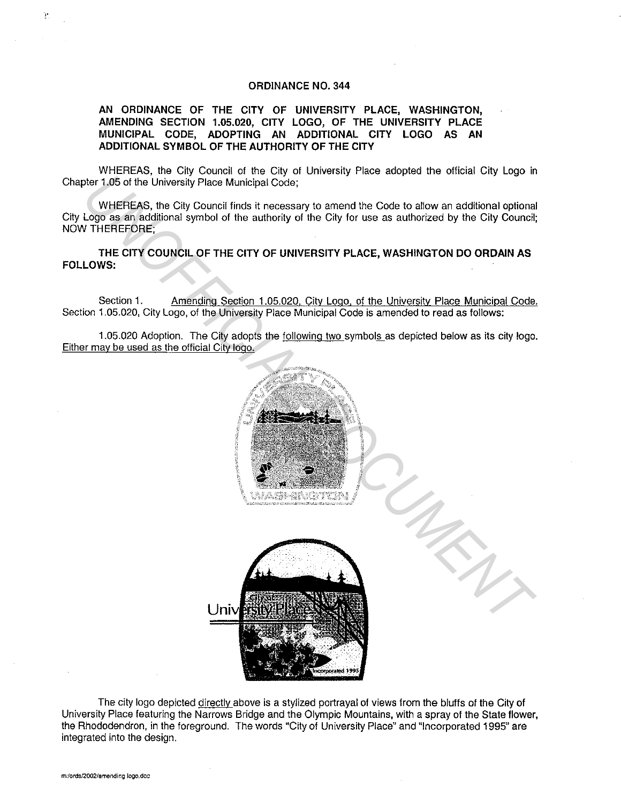## **ORDINANCE NO. 344**

**AN ORDINANCE OF THE CITY OF UNIVERSITY PLACE, WASHINGTON, AMENDING SECTION 1.05.020, CITY LOGO, OF THE UNIVERSITY PLACE MUNICIPAL CODE, ADOPTING AN ADDITIONAL CITY LOGO AS AN ADDITIONAL SYMBOL OF THE AUTHORITY OF THE CITY** 

WHEREAS, the City Council of the City of University Place adopted the official City Logo in Chapter 1.05 of the University Place Municipal Code;

WHEREAS, the City Council finds it necessary to amend the Code to allow an additional optional City Logo as an additional symbol of the authority of the City for use as authorized by the City Council; NOW THEREFORE;

**THE CITY COUNCIL OF THE CITY OF UNIVERSITY PLACE, WASHINGTON DO ORDAIN AS FOLLOWS:** 

Section 1. Amending Section 1.05.020, City Logo, of the University Place Municipal Code. Section 1.05.020, City Logo, of the University Place Municipal Code is amended to read as follows:

1.05.020 Adoption. The City adopts the following two symbols as depicted below as its city logo. Either may be used as the official City logo.



The city logo depicted directly above is a stylized portrayal of views from the bluffs of the City of University Place featuring the Narrows Bridge and the Olympic Mountains, with a spray of the State flower, the Rhododendron, in the foreground. The words "City of University Place" and "Incorporated 1995" are integrated into the design.

!'